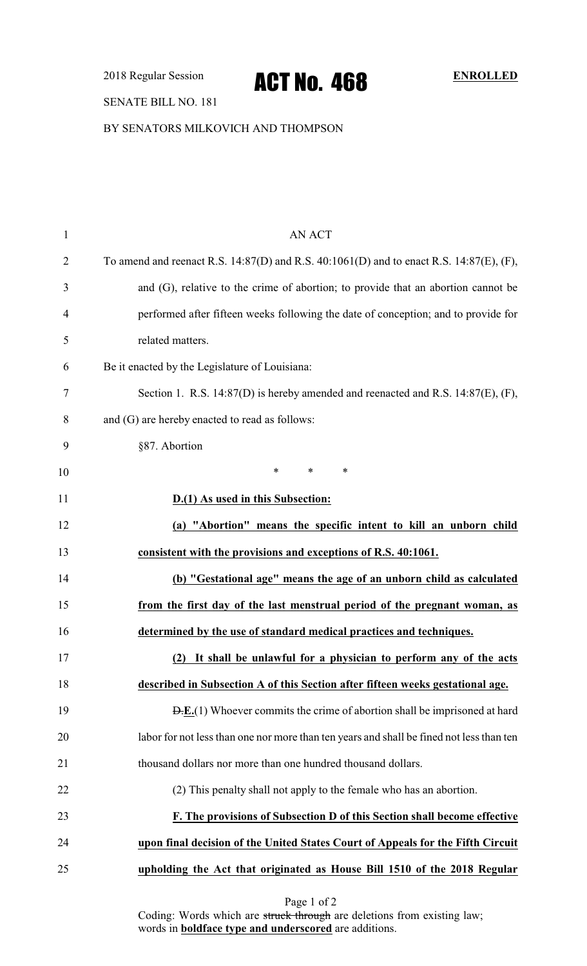2018 Regular Session **ACT NO. 468** ENROLLED

#### SENATE BILL NO. 181

BY SENATORS MILKOVICH AND THOMPSON

| $\mathbf{1}$   | <b>AN ACT</b>                                                                            |
|----------------|------------------------------------------------------------------------------------------|
| $\overline{2}$ | To amend and reenact R.S. 14:87(D) and R.S. 40:1061(D) and to enact R.S. 14:87(E), (F),  |
| 3              | and (G), relative to the crime of abortion; to provide that an abortion cannot be        |
| 4              | performed after fifteen weeks following the date of conception; and to provide for       |
| 5              | related matters.                                                                         |
| 6              | Be it enacted by the Legislature of Louisiana:                                           |
| 7              | Section 1. R.S. 14:87(D) is hereby amended and reenacted and R.S. 14:87(E), (F),         |
| 8              | and (G) are hereby enacted to read as follows:                                           |
| 9              | §87. Abortion                                                                            |
| 10             | $\ast$<br>$\ast$<br>∗                                                                    |
| 11             | D.(1) As used in this Subsection:                                                        |
| 12             | (a) "Abortion" means the specific intent to kill an unborn child                         |
| 13             | consistent with the provisions and exceptions of R.S. 40:1061.                           |
| 14             | (b) "Gestational age" means the age of an unborn child as calculated                     |
| 15             | from the first day of the last menstrual period of the pregnant woman, as                |
| 16             | determined by the use of standard medical practices and techniques.                      |
| 17             | It shall be unlawful for a physician to perform any of the acts<br>(2)                   |
| 18             | described in Subsection A of this Section after fifteen weeks gestational age.           |
| 19             | $E(E(1))$ Whoever commits the crime of abortion shall be imprisoned at hard              |
| 20             | labor for not less than one nor more than ten years and shall be fined not less than ten |
| 21             | thousand dollars nor more than one hundred thousand dollars.                             |
| 22             | (2) This penalty shall not apply to the female who has an abortion.                      |
| 23             | F. The provisions of Subsection D of this Section shall become effective                 |
| 24             | upon final decision of the United States Court of Appeals for the Fifth Circuit          |
| 25             | upholding the Act that originated as House Bill 1510 of the 2018 Regular                 |
|                | Page 1 of 2                                                                              |

Coding: Words which are struck through are deletions from existing law; words in **boldface type and underscored** are additions.